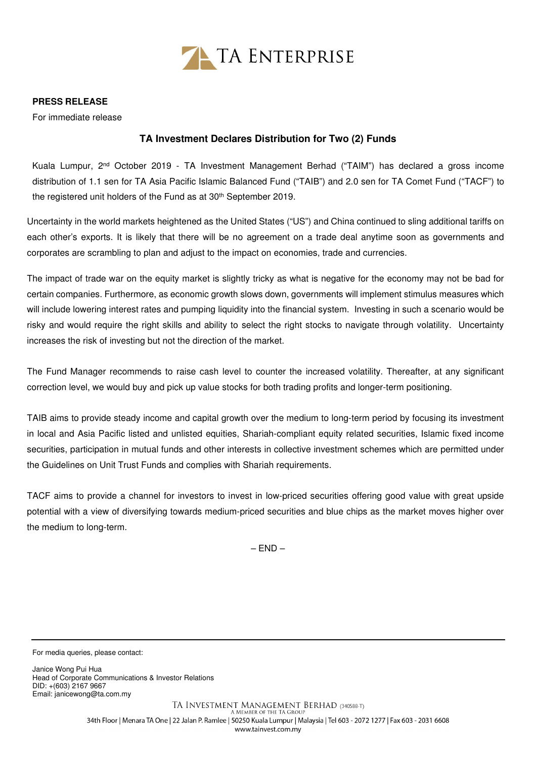

## **PRESS RELEASE**

For immediate release

## **TA Investment Declares Distribution for Two (2) Funds**

Kuala Lumpur, 2nd October 2019 - TA Investment Management Berhad ("TAIM") has declared a gross income distribution of 1.1 sen for TA Asia Pacific Islamic Balanced Fund ("TAIB") and 2.0 sen for TA Comet Fund ("TACF") to the registered unit holders of the Fund as at 30<sup>th</sup> September 2019.

Uncertainty in the world markets heightened as the United States ("US") and China continued to sling additional tariffs on each other's exports. It is likely that there will be no agreement on a trade deal anytime soon as governments and corporates are scrambling to plan and adjust to the impact on economies, trade and currencies.

The impact of trade war on the equity market is slightly tricky as what is negative for the economy may not be bad for certain companies. Furthermore, as economic growth slows down, governments will implement stimulus measures which will include lowering interest rates and pumping liquidity into the financial system. Investing in such a scenario would be risky and would require the right skills and ability to select the right stocks to navigate through volatility. Uncertainty increases the risk of investing but not the direction of the market.

The Fund Manager recommends to raise cash level to counter the increased volatility. Thereafter, at any significant correction level, we would buy and pick up value stocks for both trading profits and longer-term positioning.

TAIB aims to provide steady income and capital growth over the medium to long-term period by focusing its investment in local and Asia Pacific listed and unlisted equities, Shariah-compliant equity related securities, Islamic fixed income securities, participation in mutual funds and other interests in collective investment schemes which are permitted under the Guidelines on Unit Trust Funds and complies with Shariah requirements.

TACF aims to provide a channel for investors to invest in low-priced securities offering good value with great upside potential with a view of diversifying towards medium-priced securities and blue chips as the market moves higher over the medium to long-term.

 $-$  FND $-$ 

For media queries, please contact:

Janice Wong Pui Hua Head of Corporate Communications & Investor Relations DID: +(603) 2167 9667 Email: janicewong@ta.com.my